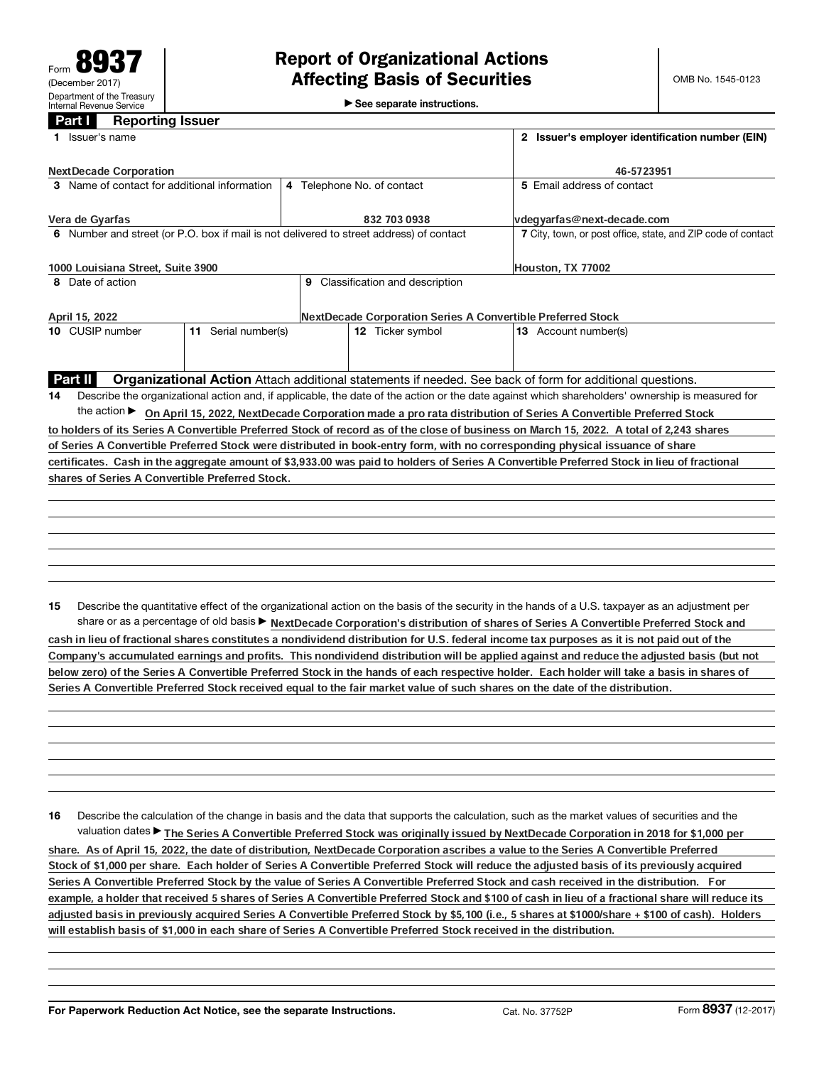$\blacktriangleright$  See separate instructions.

## Part **I** Reporting Issuer

|    | 1 Issuer's name                                                                                                                                 | 2 Issuer's employer identification number (EIN) |                                  |                                                                                                                                                 |  |  |  |  |  |  |  |
|----|-------------------------------------------------------------------------------------------------------------------------------------------------|-------------------------------------------------|----------------------------------|-------------------------------------------------------------------------------------------------------------------------------------------------|--|--|--|--|--|--|--|
|    | <b>NextDecade Corporation</b>                                                                                                                   | 46-5723951                                      |                                  |                                                                                                                                                 |  |  |  |  |  |  |  |
|    | 3 Name of contact for additional information                                                                                                    |                                                 | 4 Telephone No. of contact       | 5 Email address of contact                                                                                                                      |  |  |  |  |  |  |  |
|    | Vera de Gyarfas                                                                                                                                 |                                                 | 832 703 0938                     | vdegyarfas@next-decade.com                                                                                                                      |  |  |  |  |  |  |  |
|    | 6 Number and street (or P.O. box if mail is not delivered to street address) of contact                                                         |                                                 |                                  | 7 City, town, or post office, state, and ZIP code of contact                                                                                    |  |  |  |  |  |  |  |
|    | 1000 Louisiana Street, Suite 3900                                                                                                               | Houston, TX 77002                               |                                  |                                                                                                                                                 |  |  |  |  |  |  |  |
|    | 8 Date of action                                                                                                                                |                                                 | 9 Classification and description |                                                                                                                                                 |  |  |  |  |  |  |  |
|    | April 15, 2022                                                                                                                                  |                                                 |                                  | NextDecade Corporation Series A Convertible Preferred Stock                                                                                     |  |  |  |  |  |  |  |
|    | 11 Serial number(s)<br>10 CUSIP number                                                                                                          |                                                 | 12 Ticker symbol                 | 13 Account number(s)                                                                                                                            |  |  |  |  |  |  |  |
|    |                                                                                                                                                 |                                                 |                                  |                                                                                                                                                 |  |  |  |  |  |  |  |
|    | Part II                                                                                                                                         |                                                 |                                  | Organizational Action Attach additional statements if needed. See back of form for additional questions.                                        |  |  |  |  |  |  |  |
| 14 | Describe the organizational action and, if applicable, the date of the action or the date against which shareholders' ownership is measured for |                                                 |                                  |                                                                                                                                                 |  |  |  |  |  |  |  |
|    |                                                                                                                                                 |                                                 |                                  | the action > On April 15, 2022, NextDecade Corporation made a pro rata distribution of Series A Convertible Preferred Stock                     |  |  |  |  |  |  |  |
|    |                                                                                                                                                 |                                                 |                                  | to holders of its Series A Convertible Preferred Stock of record as of the close of business on March 15, 2022. A total of 2,243 shares         |  |  |  |  |  |  |  |
|    |                                                                                                                                                 |                                                 |                                  | of Series A Convertible Preferred Stock were distributed in book-entry form, with no corresponding physical issuance of share                   |  |  |  |  |  |  |  |
|    |                                                                                                                                                 |                                                 |                                  | certificates. Cash in the aggregate amount of \$3,933.00 was paid to holders of Series A Convertible Preferred Stock in lieu of fractional      |  |  |  |  |  |  |  |
|    | shares of Series A Convertible Preferred Stock.                                                                                                 |                                                 |                                  |                                                                                                                                                 |  |  |  |  |  |  |  |
|    |                                                                                                                                                 |                                                 |                                  |                                                                                                                                                 |  |  |  |  |  |  |  |
|    |                                                                                                                                                 |                                                 |                                  |                                                                                                                                                 |  |  |  |  |  |  |  |
|    |                                                                                                                                                 |                                                 |                                  |                                                                                                                                                 |  |  |  |  |  |  |  |
|    |                                                                                                                                                 |                                                 |                                  |                                                                                                                                                 |  |  |  |  |  |  |  |
|    |                                                                                                                                                 |                                                 |                                  |                                                                                                                                                 |  |  |  |  |  |  |  |
|    |                                                                                                                                                 |                                                 |                                  |                                                                                                                                                 |  |  |  |  |  |  |  |
| 15 |                                                                                                                                                 |                                                 |                                  | Describe the quantitative effect of the organizational action on the basis of the security in the hands of a U.S. taxpayer as an adjustment per |  |  |  |  |  |  |  |
|    |                                                                                                                                                 |                                                 |                                  | share or as a percentage of old basis > NextDecade Corporation's distribution of shares of Series A Convertible Preferred Stock and             |  |  |  |  |  |  |  |
|    |                                                                                                                                                 |                                                 | .                                |                                                                                                                                                 |  |  |  |  |  |  |  |

cash in lieu of fractional shares constitutes a nondividend distribution for U.S. federal income tax purposes as it is not paid out of the Company's accumulated earnings and profits. This nondividend distribution will be applied against and reduce the adjusted basis (but not below zero) of the Series A Convertible Preferred Stock in the hands of each respective holder. Each holder will take a basis in shares of Series A Convertible Preferred Stock received equal to the fair market value of such shares on the date of the distribution.

16 Describe the calculation of the change in basis and the data that supports the calculation, such as the market values of securities and the valuation dates▶ The Series A Convertible Preferred Stock was originally issued by NextDecade Corporation in 2018 for \$1,000 per share. As of April 15, 2022, the date of distribution, NextDecade Corporation ascribes a value to the Series A Convertible Preferred Stock of \$1,000 per share. Each holder of Series A Convertible Preferred Stock will reduce the adjusted basis of its previously acquired Series A Convertible Preferred Stock by the value of Series A Convertible Preferred Stock and cash received in the distribution. For example, a holder that received 5 shares of Series A Convertible Preferred Stock and \$100 of cash in lieu of a fractional share will reduce its adjusted basis in previously acquired Series A Convertible Preferred Stock by \$5,100 (i.e., 5 shares at \$1000/share + \$100 of cash). Holders will establish basis of \$1,000 in each share of Series A Convertible Preferred Stock received in the distribution.